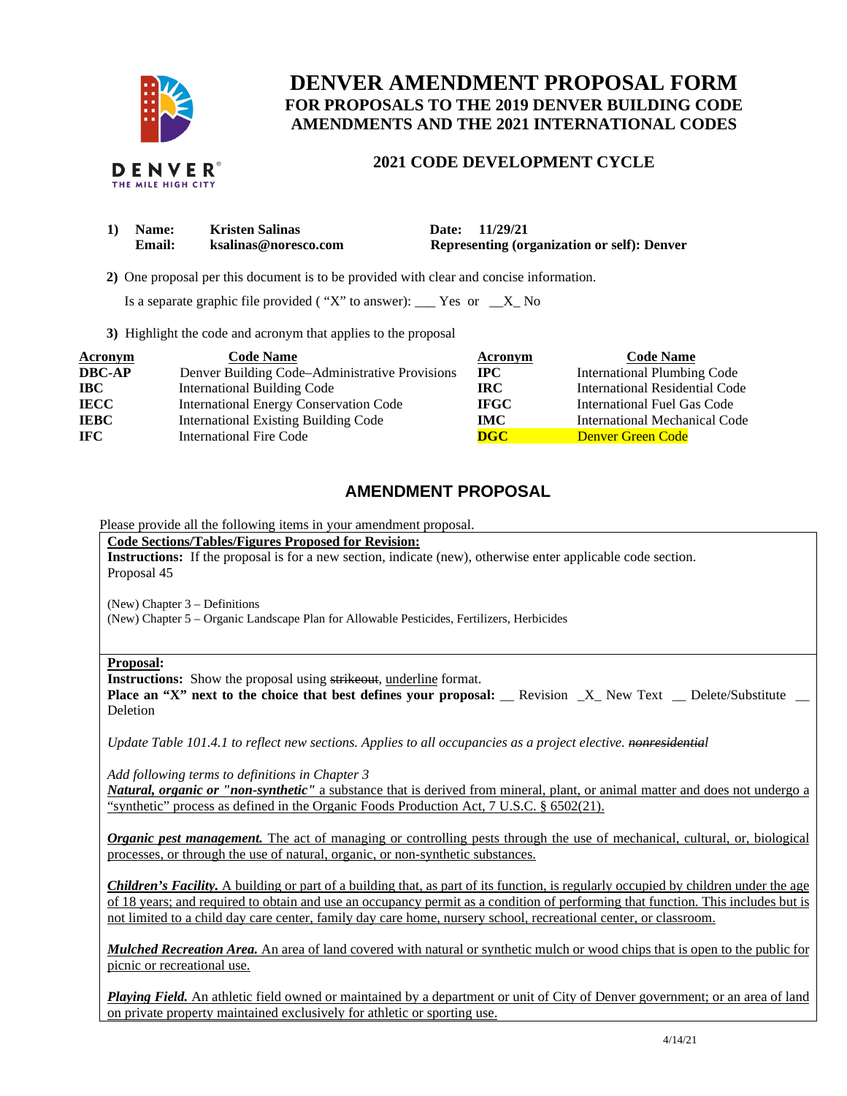

# **DENVER AMENDMENT PROPOSAL FORM FOR PROPOSALS TO THE 2019 DENVER BUILDING CODE AMENDMENTS AND THE 2021 INTERNATIONAL CODES**

## **2021 CODE DEVELOPMENT CYCLE**

| 1) Name: | <b>Kristen Salinas</b> | Date: 11/29/21                                     |
|----------|------------------------|----------------------------------------------------|
| Email:   | ksalinas@noresco.com   | <b>Representing (organization or self): Denver</b> |

 **2)** One proposal per this document is to be provided with clear and concise information.

Is a separate graphic file provided ( "X" to answer):  $\_\_\_\$  Yes or  $\_\_\_\$  No

**3)** Highlight the code and acronym that applies to the proposal

| <b>Acronym</b> | <b>Code Name</b>                               | Acronym                   | <b>Code Name</b>                   |
|----------------|------------------------------------------------|---------------------------|------------------------------------|
| <b>DBC-AP</b>  | Denver Building Code–Administrative Provisions | $\bf{IPC}$                | <b>International Plumbing Code</b> |
| <b>IBC</b>     | <b>International Building Code</b>             | IRC-                      | International Residential Code     |
| <b>IECC</b>    | <b>International Energy Conservation Code</b>  | <b>IFGC</b>               | International Fuel Gas Code        |
| <b>IEBC</b>    | <b>International Existing Building Code</b>    | IMC .                     | International Mechanical Code      |
| <b>IFC</b>     | <b>International Fire Code</b>                 | $\overline{\textbf{DGC}}$ | Denver Green Code                  |

## **AMENDMENT PROPOSAL**

Please provide all the following items in your amendment proposal.

**Code Sections/Tables/Figures Proposed for Revision:** 

**Instructions:** If the proposal is for a new section, indicate (new), otherwise enter applicable code section. Proposal 45

(New) Chapter 3 – Definitions

(New) Chapter 5 – Organic Landscape Plan for Allowable Pesticides, Fertilizers, Herbicides

#### **Proposal:**

**Instructions:** Show the proposal using strikeout, underline format.

**Place an "X" next to the choice that best defines your proposal:** Revision X New Text Delete/Substitute Deletion

*Update Table 101.4.1 to reflect new sections. Applies to all occupancies as a project elective. nonresidential* 

*Add following terms to definitions in Chapter 3* 

*Natural, organic or "non-synthetic"* a substance that is derived from mineral, plant, or animal matter and does not undergo a "synthetic" process as defined in the Organic Foods Production Act, 7 U.S.C. § 6502(21).

*Organic pest management*. The act of managing or controlling pests through the use of mechanical, cultural, or, biological processes, or through the use of natural, organic, or non-synthetic substances.

*Children's Facility.* A building or part of a building that, as part of its function, is regularly occupied by children under the age of 18 years; and required to obtain and use an occupancy permit as a condition of performing that function. This includes but is not limited to a child day care center, family day care home, nursery school, recreational center, or classroom.

*Mulched Recreation Area.* An area of land covered with natural or synthetic mulch or wood chips that is open to the public for picnic or recreational use.

*Playing Field.* An athletic field owned or maintained by a department or unit of City of Denver government; or an area of land on private property maintained exclusively for athletic or sporting use.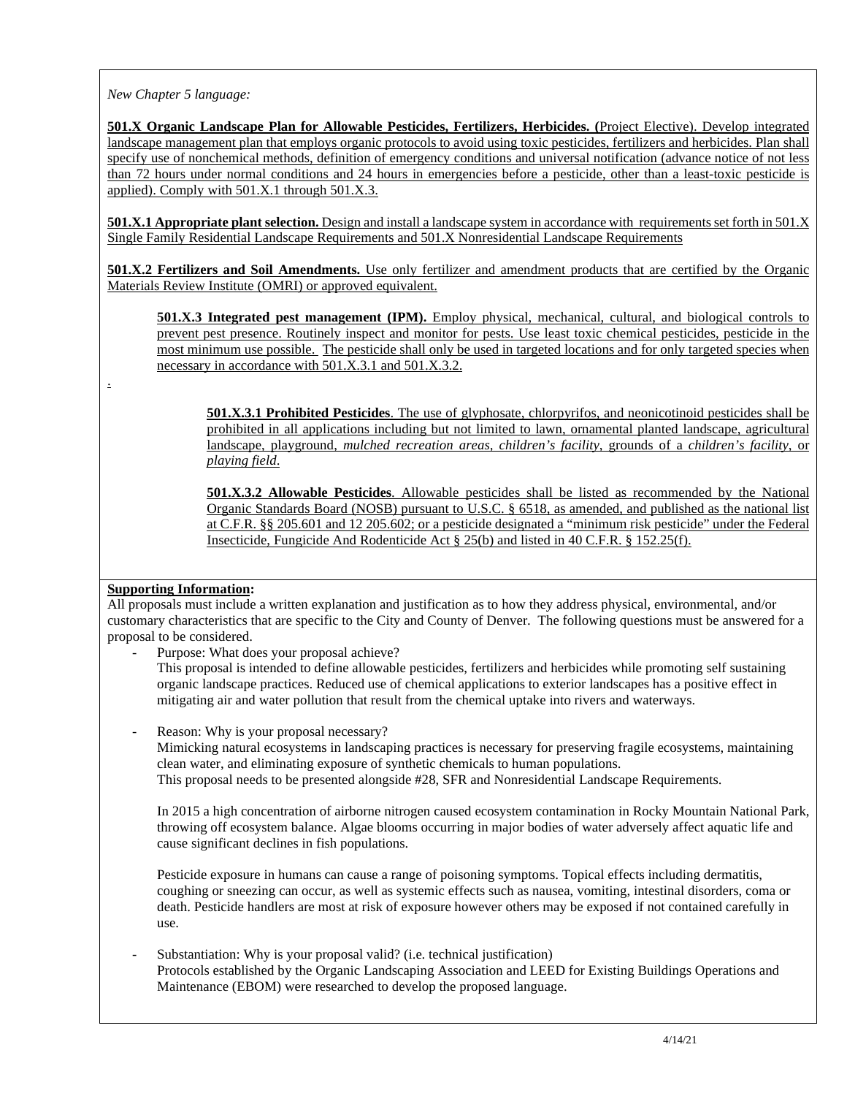*New Chapter 5 language:* 

**501.X Organic Landscape Plan for Allowable Pesticides, Fertilizers, Herbicides. (**Project Elective). Develop integrated landscape management plan that employs organic protocols to avoid using toxic pesticides, fertilizers and herbicides. Plan shall specify use of nonchemical methods, definition of emergency conditions and universal notification (advance notice of not less than 72 hours under normal conditions and 24 hours in emergencies before a pesticide, other than a least-toxic pesticide is applied). Comply with 501.X.1 through 501.X.3.

**501.X.1 Appropriate plant selection.** Design and install a landscape system in accordance with requirements set forth in 501.X Single Family Residential Landscape Requirements and 501.X Nonresidential Landscape Requirements

**501.X.2 Fertilizers and Soil Amendments.** Use only fertilizer and amendment products that are certified by the Organic Materials Review Institute (OMRI) or approved equivalent.

**501.X.3 Integrated pest management (IPM).** Employ physical, mechanical, cultural, and biological controls to prevent pest presence. Routinely inspect and monitor for pests. Use least toxic chemical pesticides, pesticide in the most minimum use possible. The pesticide shall only be used in targeted locations and for only targeted species when necessary in accordance with 501.X.3.1 and 501.X.3.2.

**501.X.3.1 Prohibited Pesticides**. The use of glyphosate, chlorpyrifos, and neonicotinoid pesticides shall be prohibited in all applications including but not limited to lawn, ornamental planted landscape, agricultural landscape, playground, *mulched recreation areas, children's facility*, grounds of a *children's facility*, or *playing field*.

**501.X.3.2 Allowable Pesticides**. Allowable pesticides shall be listed as recommended by the National Organic Standards Board (NOSB) pursuant to U.S.C. § 6518, as amended, and published as the national list at C.F.R. §§ 205.601 and 12 205.602; or a pesticide designated a "minimum risk pesticide" under the Federal Insecticide, Fungicide And Rodenticide Act § 25(b) and listed in 40 C.F.R. § 152.25(f).

### **Supporting Information:**

.

All proposals must include a written explanation and justification as to how they address physical, environmental, and/or customary characteristics that are specific to the City and County of Denver. The following questions must be answered for a proposal to be considered.

- Purpose: What does your proposal achieve?
	- This proposal is intended to define allowable pesticides, fertilizers and herbicides while promoting self sustaining organic landscape practices. Reduced use of chemical applications to exterior landscapes has a positive effect in mitigating air and water pollution that result from the chemical uptake into rivers and waterways.
- Reason: Why is your proposal necessary?

Mimicking natural ecosystems in landscaping practices is necessary for preserving fragile ecosystems, maintaining clean water, and eliminating exposure of synthetic chemicals to human populations. This proposal needs to be presented alongside #28, SFR and Nonresidential Landscape Requirements.

In 2015 a high concentration of airborne nitrogen caused ecosystem contamination in Rocky Mountain National Park, throwing off ecosystem balance. Algae blooms occurring in major bodies of water adversely affect aquatic life and cause significant declines in fish populations.

Pesticide exposure in humans can cause a range of poisoning symptoms. Topical effects including dermatitis, coughing or sneezing can occur, as well as systemic effects such as nausea, vomiting, intestinal disorders, coma or death. Pesticide handlers are most at risk of exposure however others may be exposed if not contained carefully in use.

### Substantiation: Why is your proposal valid? (i.e. technical justification) Protocols established by the Organic Landscaping Association and LEED for Existing Buildings Operations and Maintenance (EBOM) were researched to develop the proposed language.